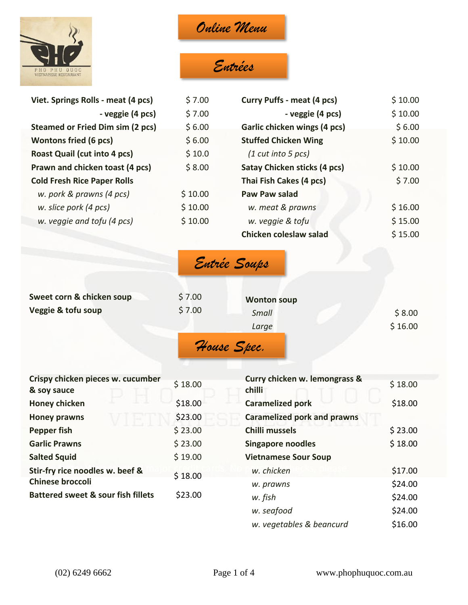

*Online Menu*

# *Entrées*

| Viet. Springs Rolls - meat (4 pcs)      | \$7.00  | <b>Curry Puffs - meat (4 pcs)</b> | \$10.00 |
|-----------------------------------------|---------|-----------------------------------|---------|
| - veggie (4 pcs)                        | \$7.00  | - veggie (4 pcs)                  | \$10.00 |
| <b>Steamed or Fried Dim sim (2 pcs)</b> | \$6.00  | Garlic chicken wings (4 pcs)      | \$6.00  |
| <b>Wontons fried (6 pcs)</b>            | \$6.00  | <b>Stuffed Chicken Wing</b>       | \$10.00 |
| <b>Roast Quail (cut into 4 pcs)</b>     | \$10.0  | $(1$ cut into 5 pcs)              |         |
| Prawn and chicken toast (4 pcs)         | \$8.00  | Satay Chicken sticks (4 pcs)      | \$10.00 |
| <b>Cold Fresh Rice Paper Rolls</b>      |         | Thai Fish Cakes (4 pcs)           | \$7.00  |
| w. pork & prawns (4 pcs)                | \$10.00 | <b>Paw Paw salad</b>              |         |
| w. slice pork (4 pcs)                   | \$10.00 | w. meat & prawns                  | \$16.00 |
| w. veggie and tofu (4 pcs)              | \$10.00 | w. veggie & tofu                  | \$15.00 |
|                                         |         | Chicken coleslaw salad            | \$15.00 |

| Entrée Soups |  |
|--------------|--|
|--------------|--|

| Sweet corn & chicken soup<br>Veggie & tofu soup | \$7.00<br>\$7.00 | <b>Wonton soup</b><br>Small<br>Large | \$8.00<br>\$16.00 |
|-------------------------------------------------|------------------|--------------------------------------|-------------------|
|                                                 |                  | House Spec.                          |                   |

| Crispy chicken pieces w. cucumber<br>& soy sauce | \$18.00 | Curry chicken w. lemongrass &<br>chilli | \$18.00 |
|--------------------------------------------------|---------|-----------------------------------------|---------|
| <b>Honey chicken</b>                             | \$18.00 | <b>Caramelized pork</b>                 | \$18.00 |
| <b>Honey prawns</b>                              | \$23.00 | <b>Caramelized pork and prawns</b>      |         |
| Pepper fish                                      | \$23.00 | <b>Chilli mussels</b>                   | \$23.00 |
| <b>Garlic Prawns</b>                             | \$23.00 | <b>Singapore noodles</b>                | \$18.00 |
| <b>Salted Squid</b>                              | \$19.00 | <b>Vietnamese Sour Soup</b>             |         |
| Stir-fry rice noodles w. beef &                  | \$18.00 | w. chicken                              | \$17.00 |
| <b>Chinese broccoli</b>                          |         | w. prawns                               | \$24.00 |
| <b>Battered sweet &amp; sour fish fillets</b>    | \$23.00 | w. fish                                 | \$24.00 |
|                                                  |         | w. seafood                              | \$24.00 |
|                                                  |         | w. vegetables & beancurd                | \$16.00 |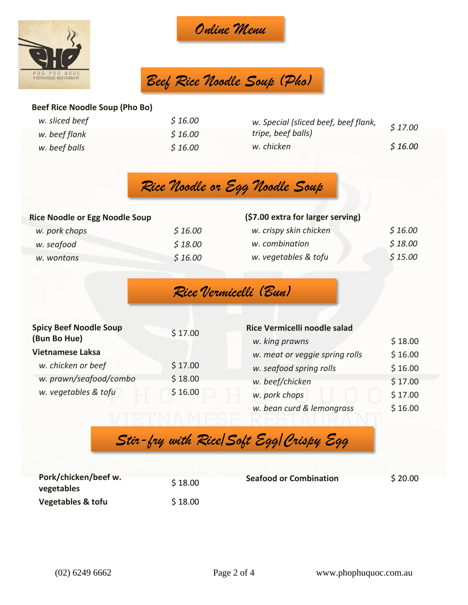



*Beef Rice Noodle Soup (Pho)*

#### **Beef Rice Noodle Soup (Pho Bo)**

| w. sliced beef | \$16.00 | w. Special (sliced beef, beef flank, | \$17.00 |
|----------------|---------|--------------------------------------|---------|
| w. beef flank  | \$16.00 | tripe, beef balls)                   |         |
| w. beef balls  | \$16.00 | w. chicken                           | \$16.00 |



#### **Rice Noodle or Egg Noodle Soup**

| w. pork chops | \$16.00 |
|---------------|---------|
| w. seafood    | \$18.00 |
| w. wontons    | \$16.00 |

#### **(\$7.00 extra for larger serving)** *w. crispy skin chicken \$ 16.00*

| w. combination       | \$18.00 |
|----------------------|---------|
| w. vegetables & tofu | \$15.00 |

### *Rice Vermicelli (Bun)*

| <b>Spicy Beef Noodle Soup</b> | \$17.00 | Rice Vermicelli noodle salad   |         |
|-------------------------------|---------|--------------------------------|---------|
| (Bun Bo Hue)                  |         | w. king prawns                 | \$18.00 |
| <b>Vietnamese Laksa</b>       |         | w. meat or veggie spring rolls | \$16.00 |
| w. chicken or beef            | \$17.00 | w. seafood spring rolls        | \$16.00 |
| w. prawn/seafood/combo        | \$18.00 | w. beef/chicken                | \$17.00 |
| w. vegetables & tofu          | \$16.00 | w. pork chops                  | \$17.00 |
|                               |         | w. bean curd & lemongrass      | \$16.00 |

*Stir-fry with Rice/Soft Egg/Crispy Egg* 

*Noodles*

| Pork/chicken/beef w.<br>vegetables | \$18.00 | <b>Seafood or Combination</b> | \$20.00 |
|------------------------------------|---------|-------------------------------|---------|
| Vegetables & tofu                  | \$18.00 |                               |         |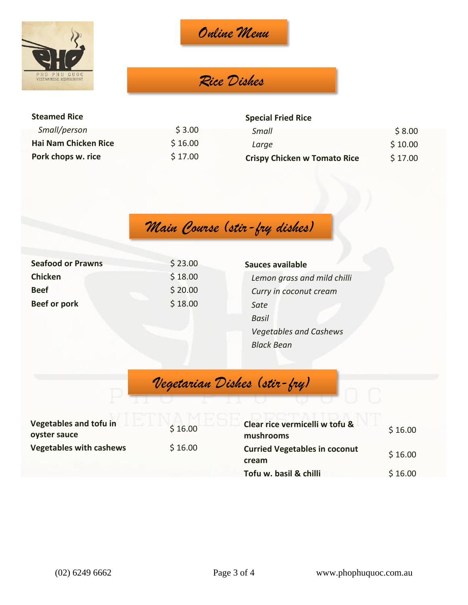

*Online Menu*

## *Rice Dishes*

| <b>Steamed Rice</b>  |         | <b>Special Fried Rice</b>           |         |
|----------------------|---------|-------------------------------------|---------|
| Small/person         | \$3.00  | Small                               | \$8.00  |
| Hai Nam Chicken Rice | \$16.00 | Large                               | \$10.00 |
| Pork chops w. rice   | \$17.00 | <b>Crispy Chicken w Tomato Rice</b> | \$17.00 |

*Main Course (stir-fry dishes)*

| <b>Seafood or Prawns</b> | \$23.00 | Sauces available              |
|--------------------------|---------|-------------------------------|
| <b>Chicken</b>           | \$18.00 | Lemon grass and mild chilli   |
| <b>Beef</b>              | \$20.00 | Curry in coconut cream        |
| <b>Beef or pork</b>      | \$18.00 | Sate                          |
|                          |         | <b>Basil</b>                  |
|                          |         | <b>Vegetables and Cashews</b> |
|                          |         | <b>Black Bean</b>             |

*Vegetarian Dishes (stir-fry)*

| Vegetables and tofu in<br>oyster sauce | \$16.00 |  |
|----------------------------------------|---------|--|
| <b>Vegetables with cashews</b>         | \$16.00 |  |

| Clear rice vermicelli w tofu &<br>mushrooms   | \$16.00 |
|-----------------------------------------------|---------|
| <b>Curried Vegetables in coconut</b><br>cream | \$16.00 |
| Tofu w. basil & chilli                        | \$16.00 |